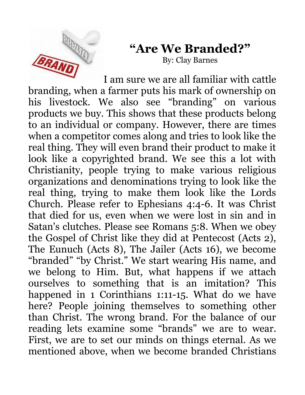

## **"Are We Branded?"**

By: Clay Barnes

I am sure we are all familiar with cattle branding, when a farmer puts his mark of ownership on his livestock. We also see "branding" on various products we buy. This shows that these products belong to an individual or company. However, there are times when a competitor comes along and tries to look like the real thing. They will even brand their product to make it look like a copyrighted brand. We see this a lot with Christianity, people trying to make various religious organizations and denominations trying to look like the real thing, trying to make them look like the Lords Church. Please refer to Ephesians 4:4-6. It was Christ that died for us, even when we were lost in sin and in Satan's clutches. Please see Romans 5:8. When we obey the Gospel of Christ like they did at Pentecost (Acts 2), The Eunuch (Acts 8), The Jailer (Acts 16), we become "branded" "by Christ." We start wearing His name, and we belong to Him. But, what happens if we attach ourselves to something that is an imitation? This happened in 1 Corinthians 1:11-15. What do we have here? People joining themselves to something other than Christ. The wrong brand. For the balance of our reading lets examine some "brands" we are to wear. First, we are to set our minds on things eternal. As we mentioned above, when we become branded Christians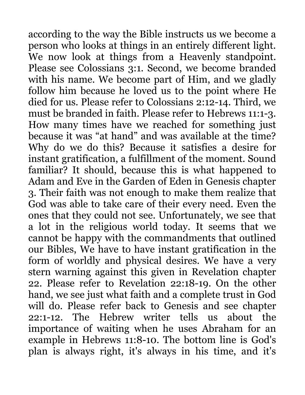according to the way the Bible instructs us we become a person who looks at things in an entirely different light. We now look at things from a Heavenly standpoint. Please see Colossians 3:1. Second, we become branded with his name. We become part of Him, and we gladly follow him because he loved us to the point where He died for us. Please refer to Colossians 2:12-14. Third, we must be branded in faith. Please refer to Hebrews 11:1-3. How many times have we reached for something just because it was "at hand" and was available at the time? Why do we do this? Because it satisfies a desire for instant gratification, a fulfillment of the moment. Sound familiar? It should, because this is what happened to Adam and Eve in the Garden of Eden in Genesis chapter 3. Their faith was not enough to make them realize that God was able to take care of their every need. Even the ones that they could not see. Unfortunately, we see that a lot in the religious world today. It seems that we cannot be happy with the commandments that outlined our Bibles, We have to have instant gratification in the form of worldly and physical desires. We have a very stern warning against this given in Revelation chapter 22. Please refer to Revelation 22:18-19. On the other hand, we see just what faith and a complete trust in God will do. Please refer back to Genesis and see chapter 22:1-12. The Hebrew writer tells us about the importance of waiting when he uses Abraham for an example in Hebrews 11:8-10. The bottom line is God's plan is always right, it's always in his time, and it's